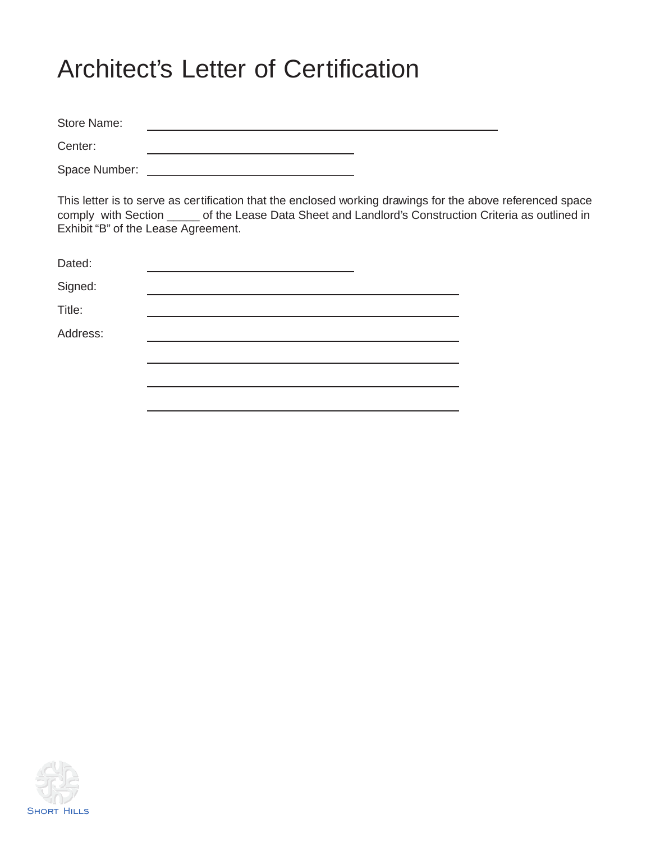# Architect's Letter of Certification

Store Name: <u> 1989 - Johann Stoff, Amerikaansk politiker (</u> Center: <u> 1989 - Johann Barn, mars ann an t-Amhain Aonaich an t-Aonaich an t-Aonaich ann an t-Aonaich ann an t-Aonaich</u>

Space Number:

This letter is to serve as certification that the enclosed working drawings for the above referenced space comply with Section \_\_\_\_\_ of the Lease Data Sheet and Landlord's Construction Criteria as outlined in Exhibit "B" of the Lease Agreement.

| Dated:   |  |
|----------|--|
| Signed:  |  |
| Title:   |  |
| Address: |  |
|          |  |
|          |  |
|          |  |

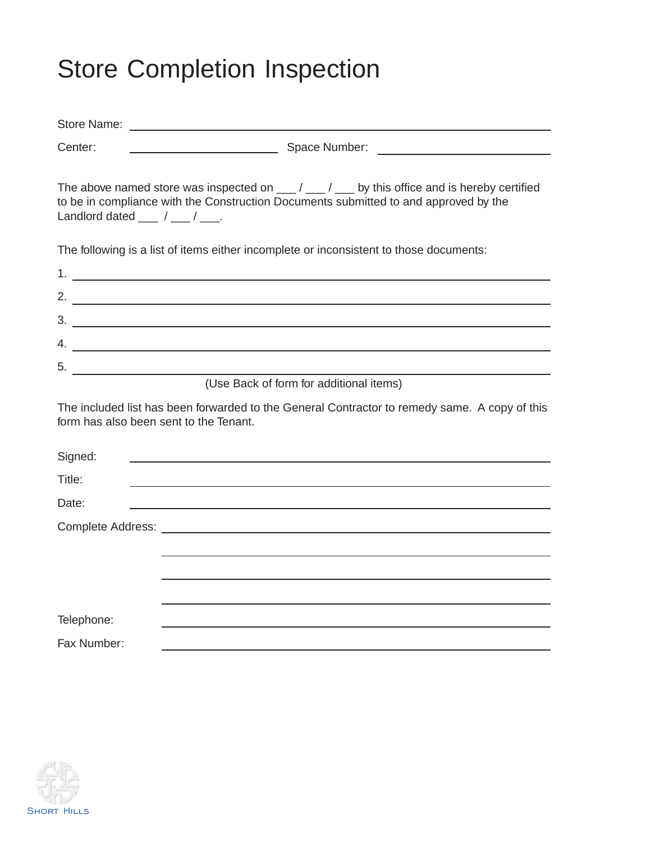# Store Completion Inspection

| Center:                                         |                                                                                                                                                                                                                                                                                                                        |  |  |  |  |  |
|-------------------------------------------------|------------------------------------------------------------------------------------------------------------------------------------------------------------------------------------------------------------------------------------------------------------------------------------------------------------------------|--|--|--|--|--|
| Landlord dated $\frac{1}{\sqrt{1-\frac{1}{2}}}$ | The above named store was inspected on $\underline{\hspace{1cm}}$ / $\underline{\hspace{1cm}}$ / $\underline{\hspace{1cm}}$ by this office and is hereby certified<br>to be in compliance with the Construction Documents submitted to and approved by the                                                             |  |  |  |  |  |
|                                                 | The following is a list of items either incomplete or inconsistent to those documents:                                                                                                                                                                                                                                 |  |  |  |  |  |
|                                                 |                                                                                                                                                                                                                                                                                                                        |  |  |  |  |  |
|                                                 | 2. $\frac{1}{2}$ $\frac{1}{2}$ $\frac{1}{2}$ $\frac{1}{2}$ $\frac{1}{2}$ $\frac{1}{2}$ $\frac{1}{2}$ $\frac{1}{2}$ $\frac{1}{2}$ $\frac{1}{2}$ $\frac{1}{2}$ $\frac{1}{2}$ $\frac{1}{2}$ $\frac{1}{2}$ $\frac{1}{2}$ $\frac{1}{2}$ $\frac{1}{2}$ $\frac{1}{2}$ $\frac{1}{2}$ $\frac{1}{2}$ $\frac{1}{2}$ $\frac{1}{2}$ |  |  |  |  |  |
|                                                 |                                                                                                                                                                                                                                                                                                                        |  |  |  |  |  |
|                                                 |                                                                                                                                                                                                                                                                                                                        |  |  |  |  |  |
|                                                 |                                                                                                                                                                                                                                                                                                                        |  |  |  |  |  |
|                                                 | (Use Back of form for additional items)                                                                                                                                                                                                                                                                                |  |  |  |  |  |
| form has also been sent to the Tenant.          | The included list has been forwarded to the General Contractor to remedy same. A copy of this                                                                                                                                                                                                                          |  |  |  |  |  |
| Signed:                                         |                                                                                                                                                                                                                                                                                                                        |  |  |  |  |  |
| Title:                                          |                                                                                                                                                                                                                                                                                                                        |  |  |  |  |  |
| Date:                                           |                                                                                                                                                                                                                                                                                                                        |  |  |  |  |  |
|                                                 |                                                                                                                                                                                                                                                                                                                        |  |  |  |  |  |
|                                                 |                                                                                                                                                                                                                                                                                                                        |  |  |  |  |  |
|                                                 |                                                                                                                                                                                                                                                                                                                        |  |  |  |  |  |
|                                                 |                                                                                                                                                                                                                                                                                                                        |  |  |  |  |  |
| Telephone:                                      |                                                                                                                                                                                                                                                                                                                        |  |  |  |  |  |
| Fax Number:                                     |                                                                                                                                                                                                                                                                                                                        |  |  |  |  |  |

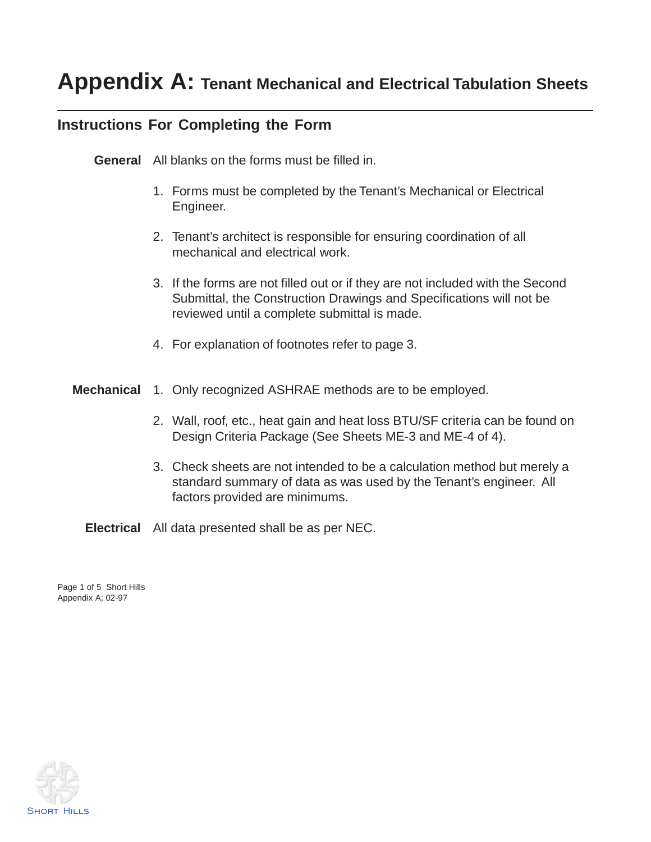# **Appendix A: Tenant Mechanical and Electrical Tabulation Sheets**

### **Instructions For Completing the Form**

**General** All blanks on the forms must be filled in.

- 1. Forms must be completed by the Tenant's Mechanical or Electrical Engineer.
- 2. Tenant's architect is responsible for ensuring coordination of all mechanical and electrical work.
- 3. If the forms are not filled out or if they are not included with the Second Submittal, the Construction Drawings and Specifications will not be reviewed until a complete submittal is made.
- 4. For explanation of footnotes refer to page 3.
- **Mechanical** 1. Only recognized ASHRAE methods are to be employed.
	- 2. Wall, roof, etc., heat gain and heat loss BTU/SF criteria can be found on Design Criteria Package (See Sheets ME-3 and ME-4 of 4).
	- 3. Check sheets are not intended to be a calculation method but merely a standard summary of data as was used by the Tenant's engineer. All factors provided are minimums.

**Electrical** All data presented shall be as per NEC.

Page 1 of 5 Short Hills Appendix A; 02-97

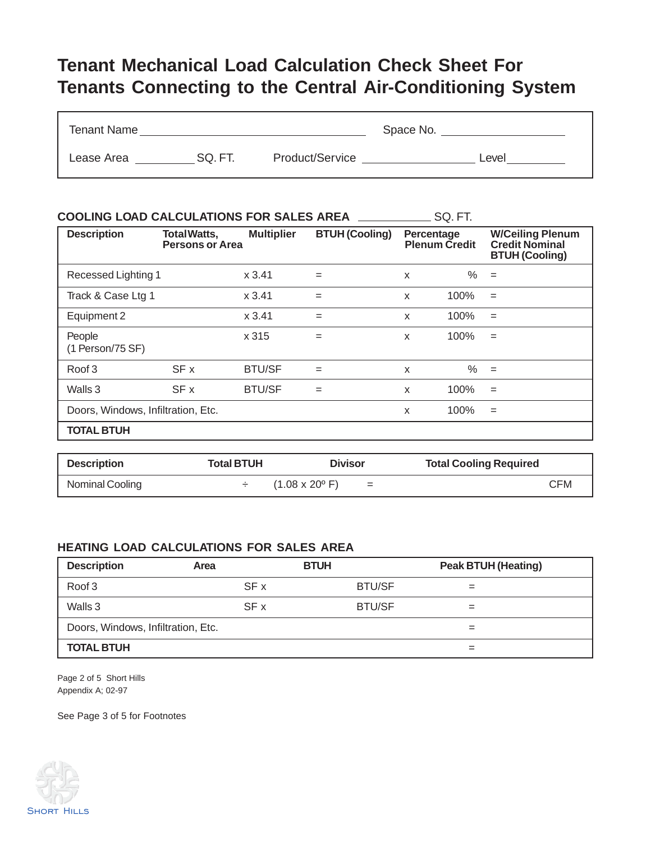## **Tenant Mechanical Load Calculation Check Sheet For Tenants Connecting to the Central Air-Conditioning System**

| <b>Tenant Name</b> |        |                 | Space No. |       |
|--------------------|--------|-----------------|-----------|-------|
| Lease Area         | SQ.FT. | Product/Service |           | Level |

| <b>COOLING LOAD CALCULATIONS FOR SALES AREA</b> |                                              |                   |                       |   | SQ. FT.                            |                                                                           |
|-------------------------------------------------|----------------------------------------------|-------------------|-----------------------|---|------------------------------------|---------------------------------------------------------------------------|
| <b>Description</b>                              | <b>TotalWatts,</b><br><b>Persons or Area</b> | <b>Multiplier</b> | <b>BTUH (Cooling)</b> |   | Percentage<br><b>Plenum Credit</b> | <b>W/Ceiling Plenum</b><br><b>Credit Nominal</b><br><b>BTUH (Cooling)</b> |
| Recessed Lighting 1                             |                                              | x3.41             | $=$                   | x | $\%$                               | $=$                                                                       |
| Track & Case Ltg 1                              |                                              | x3.41             | $=$                   | X | 100%                               | $=$                                                                       |
| Equipment 2                                     |                                              | x3.41             | $=$                   | X | 100%                               | $=$                                                                       |
| People<br>(1 Person/75 SF)                      |                                              | x 315             | $=$                   | X | 100%                               | $=$                                                                       |
| Roof 3                                          | SF x                                         | <b>BTU/SF</b>     | $=$                   | X | $\%$                               | $=$                                                                       |
| Walls 3                                         | SF x                                         | <b>BTU/SF</b>     | $=$                   | X | 100%                               | $=$                                                                       |
| Doors, Windows, Infiltration, Etc.              |                                              |                   |                       | X | 100%                               | $=$                                                                       |
| <b>TOTAL BTUH</b>                               |                                              |                   |                       |   |                                    |                                                                           |

| <b>Description</b> | Total BTUH | <b>Divisor</b>                              | <b>Total Cooling Required</b> |
|--------------------|------------|---------------------------------------------|-------------------------------|
| Nominal Cooling    |            | $(1.08 \times 20^{\circ} \text{ F})$<br>$=$ | CFM                           |

#### **HEATING LOAD CALCULATIONS FOR SALES AREA**

| <b>Description</b>                 | Area | <b>BTUH</b>   | <b>Peak BTUH (Heating)</b> |  |
|------------------------------------|------|---------------|----------------------------|--|
| Roof 3                             | SF x | <b>BTU/SF</b> |                            |  |
| Walls 3                            | SF x | <b>BTU/SF</b> | =                          |  |
| Doors, Windows, Infiltration, Etc. |      |               |                            |  |
| <b>TOTAL BTUH</b>                  |      |               |                            |  |

Page 2 of 5 Short Hills Appendix A; 02-97

See Page 3 of 5 for Footnotes

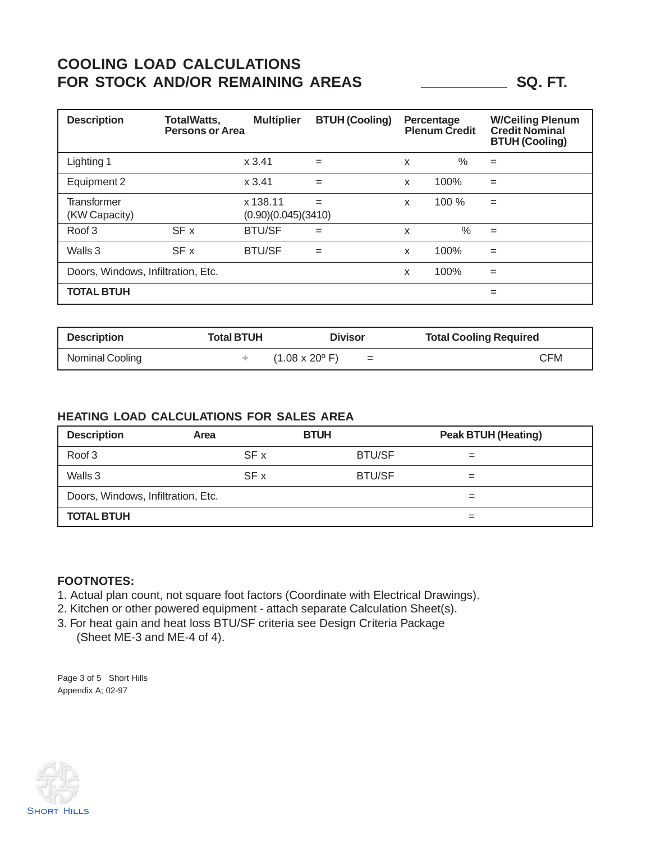### **COOLING LOAD CALCULATIONS** FOR STOCK AND/OR REMAINING AREAS **SQ. FT.** SQ. FT.

| <b>Description</b>                  | <b>TotalWatts,</b><br><b>Persons or Area</b> | <b>Multiplier</b>               | <b>BTUH (Cooling)</b> |   | Percentage<br><b>Plenum Credit</b> | <b>W/Ceiling Plenum</b><br><b>Credit Nominal</b><br><b>BTUH (Cooling)</b> |
|-------------------------------------|----------------------------------------------|---------------------------------|-----------------------|---|------------------------------------|---------------------------------------------------------------------------|
| Lighting 1                          |                                              | x3.41                           | $=$                   | X | %                                  | $=$                                                                       |
| Equipment 2                         |                                              | x3.41                           | $=$                   | X | 100%                               | $=$                                                                       |
| <b>Transformer</b><br>(KW Capacity) |                                              | x 138.11<br>(0.90)(0.045)(3410) | $=$                   | X | 100%                               | $=$                                                                       |
| Roof 3                              | SF x                                         | <b>BTU/SF</b>                   | $=$                   | X | $\frac{0}{0}$                      | $=$                                                                       |
| Walls 3                             | SF x                                         | <b>BTU/SF</b>                   | $=$                   | X | 100%                               | $=$                                                                       |
| Doors, Windows, Infiltration, Etc.  |                                              |                                 |                       | x | 100%                               | $=$                                                                       |
| <b>TOTAL BTUH</b>                   |                                              |                                 |                       |   |                                    | $=$                                                                       |

| <b>Description</b> | Total BTUH | <b>Divisor</b>                              | <b>Total Cooling Required</b> |
|--------------------|------------|---------------------------------------------|-------------------------------|
| Nominal Cooling    |            | $(1.08 \times 20^{\circ} \text{ F})$<br>$=$ | CFM                           |

#### **HEATING LOAD CALCULATIONS FOR SALES AREA**

| <b>Description</b>                 | Area | <b>BTUH</b>   | <b>Peak BTUH (Heating)</b> |  |
|------------------------------------|------|---------------|----------------------------|--|
| Roof 3                             | SF x | <b>BTU/SF</b> |                            |  |
| Walls 3                            | SF x | <b>BTU/SF</b> |                            |  |
| Doors, Windows, Infiltration, Etc. |      |               |                            |  |
| <b>TOTAL BTUH</b>                  |      |               |                            |  |

#### **FOOTNOTES:**

- 1. Actual plan count, not square foot factors (Coordinate with Electrical Drawings).
- 2. Kitchen or other powered equipment attach separate Calculation Sheet(s).
- 3. For heat gain and heat loss BTU/SF criteria see Design Criteria Package (Sheet ME-3 and ME-4 of 4).

Page 3 of 5 Short Hills Appendix A; 02-97

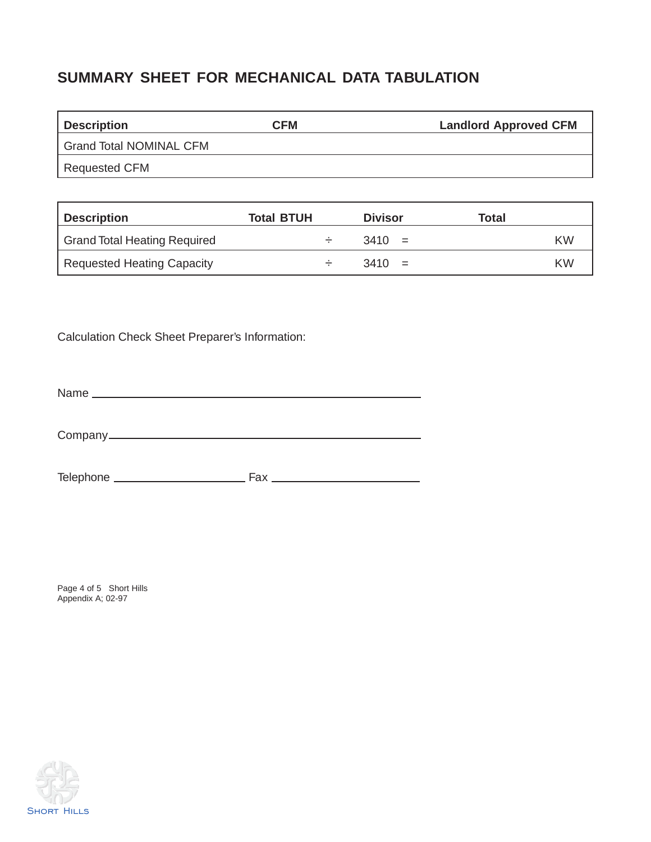## **SUMMARY SHEET FOR MECHANICAL DATA TABULATION**

| <b>Description</b>             | <b>CFM</b> | <b>Landlord Approved CFM</b> |
|--------------------------------|------------|------------------------------|
| <b>Grand Total NOMINAL CFM</b> |            |                              |
| Requested CFM                  |            |                              |

| <b>Description</b>                  | <b>Total BTUH</b> | <b>Divisor</b> | Total     |
|-------------------------------------|-------------------|----------------|-----------|
| <b>Grand Total Heating Required</b> | —                 | $3410 =$       | KW        |
| Requested Heating Capacity          |                   | $3410 =$       | <b>KW</b> |

Calculation Check Sheet Preparer's Information:

Name

Company

Telephone Fax

Page 4 of 5 Short Hills Appendix A; 02-97

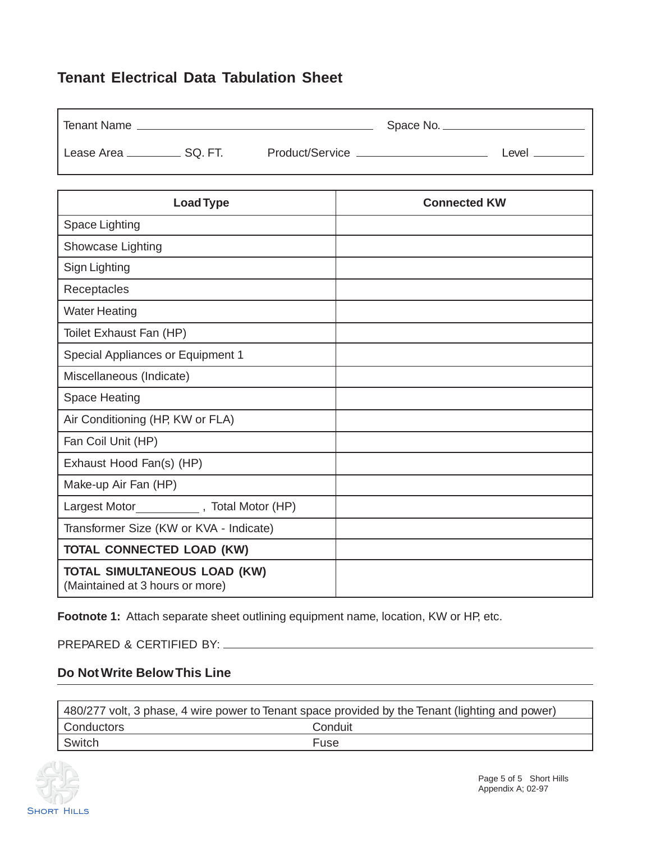### **Tenant Electrical Data Tabulation Sheet**

| <b>Tenant Name</b> |         |                 | Space No. |       |
|--------------------|---------|-----------------|-----------|-------|
| Lease Area.        | SQ. FT. | Product/Service |           | _evel |

| <b>Load Type</b>                                                       | <b>Connected KW</b> |
|------------------------------------------------------------------------|---------------------|
| Space Lighting                                                         |                     |
| Showcase Lighting                                                      |                     |
| Sign Lighting                                                          |                     |
| Receptacles                                                            |                     |
| <b>Water Heating</b>                                                   |                     |
| Toilet Exhaust Fan (HP)                                                |                     |
| <b>Special Appliances or Equipment 1</b>                               |                     |
| Miscellaneous (Indicate)                                               |                     |
| <b>Space Heating</b>                                                   |                     |
| Air Conditioning (HP, KW or FLA)                                       |                     |
| Fan Coil Unit (HP)                                                     |                     |
| Exhaust Hood Fan(s) (HP)                                               |                     |
| Make-up Air Fan (HP)                                                   |                     |
| Largest Motor ______________, Total Motor (HP)                         |                     |
| Transformer Size (KW or KVA - Indicate)                                |                     |
| <b>TOTAL CONNECTED LOAD (KW)</b>                                       |                     |
| <b>TOTAL SIMULTANEOUS LOAD (KW)</b><br>(Maintained at 3 hours or more) |                     |

Footnote 1: Attach separate sheet outlining equipment name, location, KW or HP, etc.

PREPARED & CERTIFIED BY:

#### **Do Not Write Below This Line**

| 480/277 volt, 3 phase, 4 wire power to Tenant space provided by the Tenant (lighting and power) |         |  |
|-------------------------------------------------------------------------------------------------|---------|--|
| Conductors                                                                                      | Conduit |  |
| Switch                                                                                          | Fuse    |  |

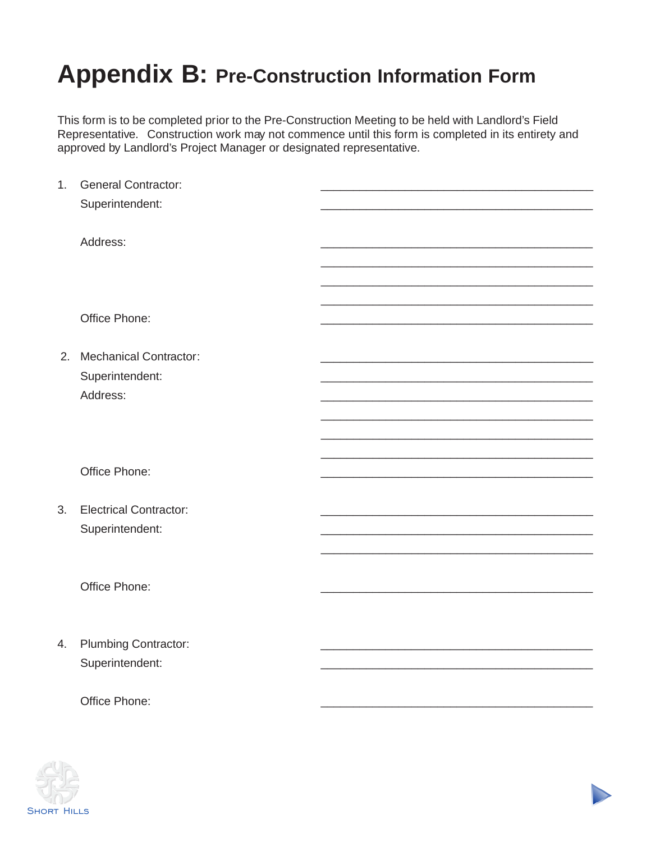# **Appendix B: Pre-Construction Information Form**

This form is to be completed prior to the Pre-Construction Meeting to be held with Landlord's Field Representative. Construction work may not commence until this form is completed in its entirety and approved by Landlord's Project Manager or designated representative.

| 1. | <b>General Contractor:</b>    |  |
|----|-------------------------------|--|
|    | Superintendent:               |  |
|    |                               |  |
|    |                               |  |
|    | Address:                      |  |
|    |                               |  |
|    |                               |  |
|    |                               |  |
|    |                               |  |
|    | Office Phone:                 |  |
|    |                               |  |
|    | 2. Mechanical Contractor:     |  |
|    | Superintendent:               |  |
|    | Address:                      |  |
|    |                               |  |
|    |                               |  |
|    |                               |  |
|    |                               |  |
|    | Office Phone:                 |  |
|    |                               |  |
|    |                               |  |
| 3. | <b>Electrical Contractor:</b> |  |
|    | Superintendent:               |  |
|    |                               |  |
|    |                               |  |
|    | Office Phone:                 |  |
|    |                               |  |
|    |                               |  |
|    |                               |  |
| 4. | <b>Plumbing Contractor:</b>   |  |
|    | Superintendent:               |  |
|    |                               |  |
|    |                               |  |
|    | Office Phone:                 |  |
|    |                               |  |